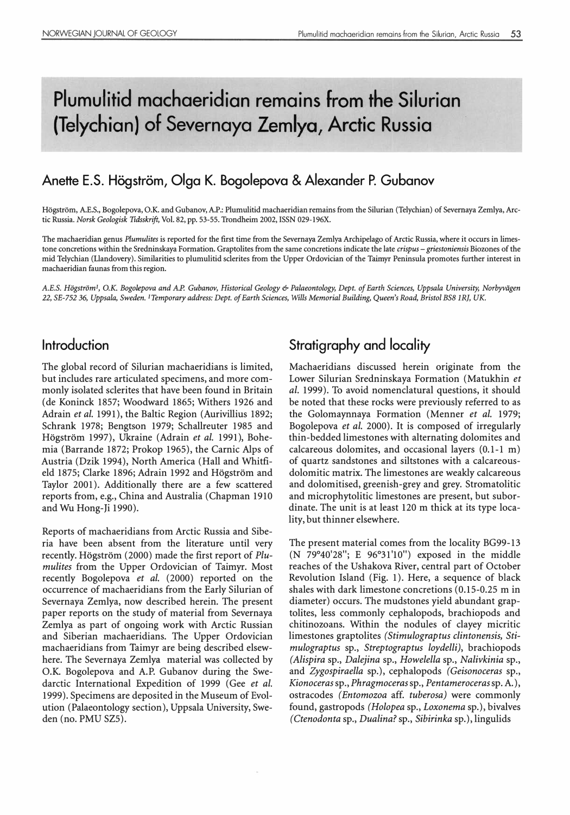# Plumulitid machaeridian remains from the Silurian (Telychian) of Severnaya Zemlya, Arctic Russia

# Anette E.S. Högström, Olga K. Bogolepova & Alexander P. Gubanov

Hogstrom, A.E.S., Bogolepova, O.K. and Gubanov, A.P.: Plumulitid machaeridian remains from the Silurian (Telychian) of Sevemaya Zemlya, Arctic Russia. Norsk Geologisk Tidsskrift, Vol. 82, pp. 53-55. Trondheim 2002, ISSN 029-196X.

The machaeridian genus Plumulites is reported for the first time from the Severnaya Zemlya Archipelago of Arctic Russia, where it occurs in limestone concretions within the Sredninskaya Formation. Graptolites from the same concretions indicate the late crispus - griestoniensis Biozones of the mid Telychian (Uandovery). Similarities to plumulitid sclerites from the Upper Ordovician of the Tairnyr Peninsula promotes further interest in machaeridian faunas from this region.

A.E.S. Högström<sup>1</sup>, O.K. Bogolepova and A.P. Gubanov, Historical Geology & Palaeontology, Dept. of Earth Sciences, Uppsala University, Norbyvägen 22, SE-752 36, Uppsala, Sweden. I Temporary address: Dept. of Earth Sciences, Wills Memorial Building, Queen's Road, Bristol BSB l RJ, UK.

## lntroduction

The global record of Silurian machaeridians is limited, but includes rare articulated specimens, and more commonly isolated sclerites that have been found in Britain (de Koninck 1857; Woodward 1865; Withers 1926 and Adrain et al. 1991), the Baltic Region (Aurivillius 1892; Schrank 1978; Bengtson 1979; Schallreuter 1985 and Högström 1997), Ukraine (Adrain et al. 1991), Bohemia (Barrande 1872; Prokop 1965), the Carnic Alps of Austria (Dzik 1994), North America (Hall and Whitfield 1875; Clarke 1896; Adrain 1992 and Högström and Taylor 2001). Additionally there are a few scattered reports from, e.g., China and Australia (Chapman 1910 and Wu Hong-Ji 1990).

Reports of machaeridians from Arctic Russia and Siberia have been absent from the literature until very recently. Högström (2000) made the first report of Plumulites from the Upper Ordovician of Taimyr. Most recently Bogolepova et al. (2000) reported on the occurrence of machaeridians from the Early Silurian of Severnaya Zemlya, now described herein. The present paper reports on the study of material from Severnaya Zemlya as part of ongoing work with Arctic Russian and Siberian machaeridians. The Upper Ordovician machaeridians from Taimyr are being described elsewhere. The Severnaya Zemlya material was collected by O.K. Bogolepova and A.P. Gubanov during the Swedarctic International Expedition of 1999 (Gee et al. 1999). Specimens are deposited in the Museum of Evolution (Palaeontology section), Uppsala University, Sweden (no. PMU SZ5).

# Stratigraphy and locality

Machaeridians discussed herein originate from the Lower Silurian Sredninskaya Formation (Matukhin et al. 1999). To avoid nomenclatural questions, it should be noted that these rocks were previously referred to as the Golomaynnaya Formation (Menner et al. 1979; Bogolepova et al. 2000). It is composed of irregularly thin-bedded limestones with alternating dolomites and calcareous dolomites, and occasional layers (O.l-l m) of quartz sandstones and siltstones with a calcareousdolomitic matrix. The limestones are weakly calcareous and dolomitised, greenish-grey and grey. Stromatolitic and microphytolitic limestones are present, but subordinate. The unit is at least 120 m thick at its type locality, but thinner elsewhere.

The present material comes from the locality BG99-13 (N 79°40'28"; E 96°31'10") exposed in the middle reaches of the Ushakova River, central part of October Revolution Island (Fig. 1). Here, a sequence of black shales with dark limestone concretions (0.15-0.25 m in diameter) occurs. The mudstones yield abundant graptolites, less commonly cephalopods, brachiopods and chitinozoans. Within the nodules of clayey micritic limestones graptolites (Stimulograptus clintonensis, Stimulograptus sp., Streptograptus loydelli), brachiopods (Alispira sp., Dalejina sp., Howelella sp., Nalivkinia sp., and Zygospiraella sp.), cephalopods (Geisonoceras sp., Kionoceras sp., Phragmoceras sp., Pentameroceras sp. A.), ostracodes (Entomozoa aff. tuberosa) were commonly found, gastropods (Holopea sp., Loxonema sp.), bivalves (Ctenodonta sp., Dualina? sp., Sibirinka sp.), lingulids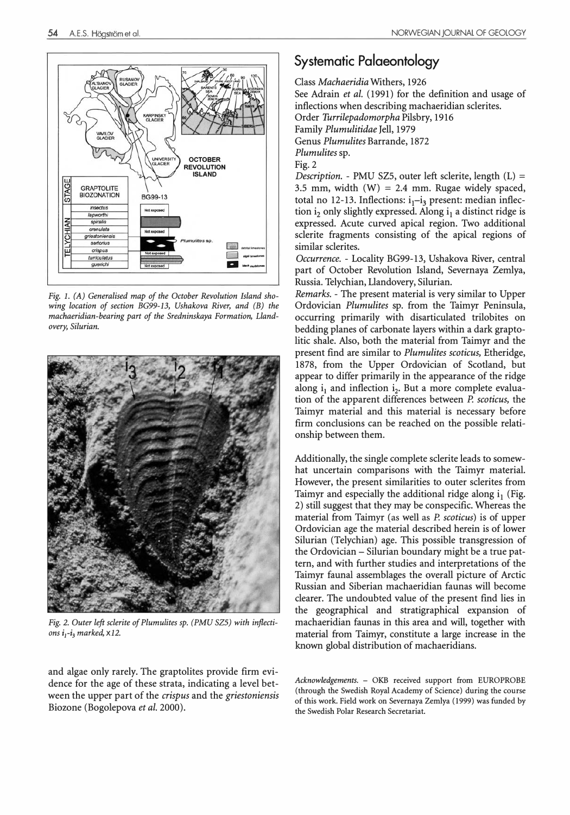

Fig. 1. (A) Generalised map of the October Revolution Island showing location of section BG99-13, Ushakova River, and (B) the machaeridian-bearing part of the Sredninskaya Formation, Llandovery, Silurian.



Fig. 2. Guter left sclerite of Plumulites sp. (PMU SZS) with inflections  $i_1$ - $i_3$  marked,  $\times$ 12.

and algae only rarely. The graptolites provide firm evidence for the age of these strata, indicating a level between the upper part of the *crispus* and the *griestoniensis* Biozone (Bogolepova et al. 2000).

## Systematic Palaeontology

Class Machaeridia Withers, 1926 See Adrain et al. (1991) for the definition and usage of inflections when describing machaeridian sclerites. Order Turrilepadomorpha Pilsbry, 1916 Family Plumulitidae Jell, 1979 Genus Plumulites Barrande, 1872 Plumulites sp. Fig.2 Description. - PMU SZ5, outer left sclerite, length  $(L)$  =

3.5 mm, width  $(W) = 2.4$  mm. Rugae widely spaced, total no 12-13. Inflections:  $i_1$ - $i_3$  present: median inflection i<sub>2</sub> only slightly expressed. Along  $i_1$  a distinct ridge is expressed. Acute curved apical region. Two additional sclerite fragments consisting of the apical regions of similar sclerites.

Occurrence. - Locality BG99-13, Ushakova River, central part of October Revolution Island, Severnaya Zemlya, Russia. Telychian, Llandovery, Silurian.

Remarks. - The present material is very similar to Upper Ordovician Plumulites sp. from the Taimyr Peninsula, occurring primarily with disarticulated trilobites on bedding planes of carbonate layers within a dark graptolitic shale. Also, both the material from Taimyr and the present find are similar to Plumulites scoticus, Etheridge, 1878, from the Upper Ordovician of Scotland, but appear to differ primarily in the appearance of the ridge along  $i_1$  and inflection  $i_2$ . But a more complete evaluation of the apparent differences between P. scoticus, the Taimyr material and this material is necessary before firm conclusions can be reached on the possible relationship between them.

Additionally, the single complete sclerite leads to somewhat uncertain comparisons with the Taimyr material. However, the present similarities to outer sclerites from Taimyr and especially the additional ridge along  $i_1$  (Fig. 2) still suggest that they may be conspecific. Whereas the material from Taimyr (as well as P. scoticus) is of upper Ordovician age the material described herein is of lower Silurian (Telychian) age. This possible transgression of the Ordovician- Silurian boundary might be a true pattern, and with further studies and interpretations of the Taimyr faunal assemblages the overall picture of Arctic Russian and Siberian machaeridian faunas will become clearer. The undoubted value of the present find lies in the geographical and stratigraphical expansion of machaeridian faunas in this area and will, together with material from Taimyr, constitute a large increase in the known global distribution of machaeridians.

Acknowledgements. - OKB received support from EUROPROBE (through the Swedish Royal Academy of Science) during the course of this work. Field work on Severnaya Zemlya (1999) was funded by the Swedish Polar Research Secretariat.